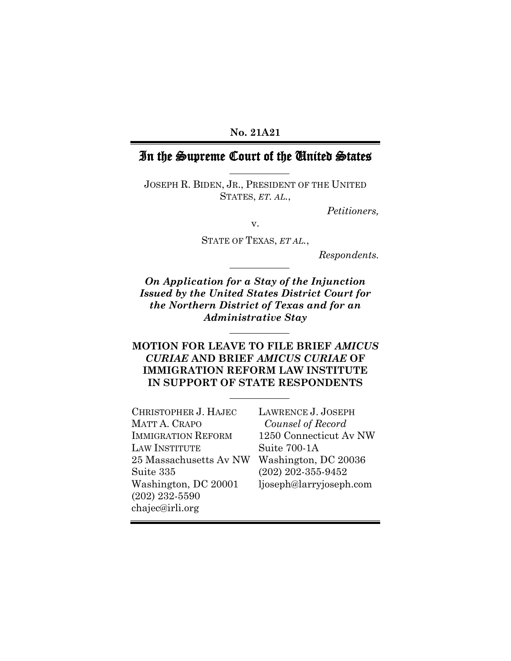#### **No. 21A21**

# In the Supreme Court of the United States

JOSEPH R. BIDEN, JR., PRESIDENT OF THE UNITED STATES, *ET. AL.*,

*Petitioners,*

v.

STATE OF TEXAS, *ET AL.*,

*Respondents.*

*On Application for a Stay of the Injunction Issued by the United States District Court for the Northern District of Texas and for an Administrative Stay*

## **MOTION FOR LEAVE TO FILE BRIEF** *AMICUS CURIAE* **AND BRIEF** *AMICUS CURIAE* **OF IMMIGRATION REFORM LAW INSTITUTE IN SUPPORT OF STATE RESPONDENTS**

| CHRISTOPHER J. HAJEC      | LAWRENCE J. JOSEPH      |
|---------------------------|-------------------------|
| MATT A. CRAPO             | Counsel of Record       |
| <b>IMMIGRATION REFORM</b> | 1250 Connecticut Av NW  |
| <b>LAW INSTITUTE</b>      | Suite 700-1A            |
| 25 Massachusetts Av NW    | Washington, DC 20036    |
| Suite 335                 | $(202)$ 202-355-9452    |
| Washington, DC 20001      | ljoseph@larryjoseph.com |
| $(202)$ 232-5590          |                         |
| chajec@irli.org           |                         |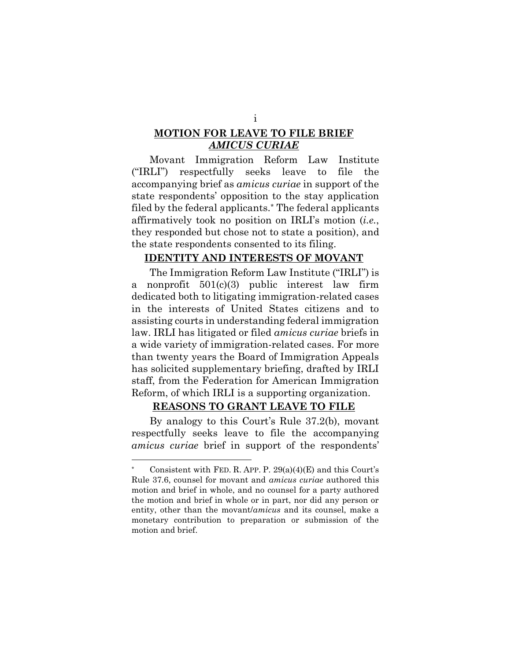# **MOTION FOR LEAVE TO FILE BRIEF**  *AMICUS CURIAE*

Movant Immigration Reform Law Institute ("IRLI") respectfully seeks leave to file the accompanying brief as *amicus curiae* in support of the state respondents' opposition to the stay application filed by the federal applicants.\* The federal applicants affirmatively took no position on IRLI's motion (*i.e.*, they responded but chose not to state a position), and the state respondents consented to its filing.

#### **IDENTITY AND INTERESTS OF MOVANT**

The Immigration Reform Law Institute ("IRLI") is a nonprofit 501(c)(3) public interest law firm dedicated both to litigating immigration-related cases in the interests of United States citizens and to assisting courts in understanding federal immigration law. IRLI has litigated or filed *amicus curiae* briefs in a wide variety of immigration-related cases. For more than twenty years the Board of Immigration Appeals has solicited supplementary briefing, drafted by IRLI staff, from the Federation for American Immigration Reform, of which IRLI is a supporting organization.

#### **REASONS TO GRANT LEAVE TO FILE**

By analogy to this Court's Rule 37.2(b), movant respectfully seeks leave to file the accompanying *amicus curiae* brief in support of the respondents'

Consistent with FED. R. APP. P.  $29(a)(4)(E)$  and this Court's Rule 37.6, counsel for movant and *amicus curiae* authored this motion and brief in whole, and no counsel for a party authored the motion and brief in whole or in part, nor did any person or entity, other than the movant/*amicus* and its counsel, make a monetary contribution to preparation or submission of the motion and brief.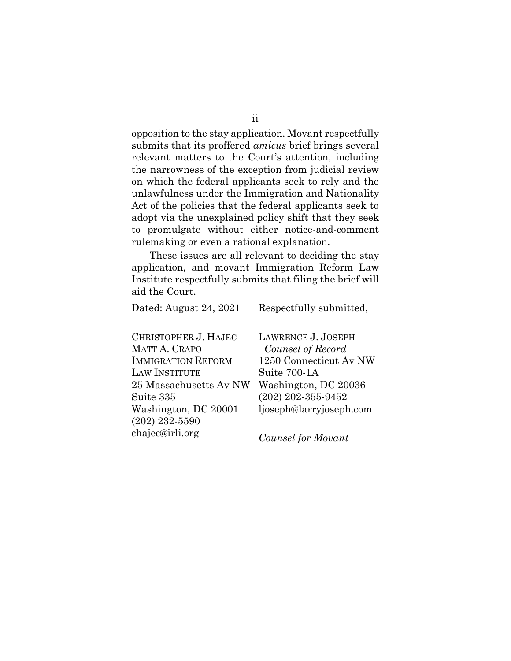opposition to the stay application. Movant respectfully submits that its proffered *amicus* brief brings several relevant matters to the Court's attention, including the narrowness of the exception from judicial review on which the federal applicants seek to rely and the unlawfulness under the Immigration and Nationality Act of the policies that the federal applicants seek to adopt via the unexplained policy shift that they seek to promulgate without either notice-and-comment rulemaking or even a rational explanation.

These issues are all relevant to deciding the stay application, and movant Immigration Reform Law Institute respectfully submits that filing the brief will aid the Court.

| Dated: August 24, 2021    | Respectfully submitted, |
|---------------------------|-------------------------|
| CHRISTOPHER J. HAJEC      | LAWRENCE J. JOSEPH      |
| <b>MATT A. CRAPO</b>      | Counsel of Record       |
| <b>IMMIGRATION REFORM</b> | 1250 Connecticut Av NW  |
| <b>LAW INSTITUTE</b>      | Suite 700-1A            |
| 25 Massachusetts Av NW    | Washington, DC 20036    |
| Suite 335                 | $(202)$ 202-355-9452    |
| Washington, DC 20001      | ljoseph@larryjoseph.com |
| $(202)$ 232-5590          |                         |
| chajec@irli.org           | Counsel for Movant      |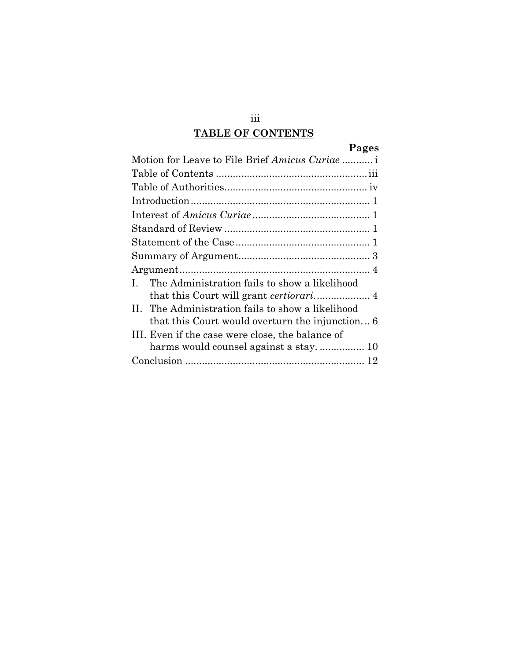# **TABLE OF CONTENTS**

# **Pages**

| Motion for Leave to File Brief Amicus Curiae                  |
|---------------------------------------------------------------|
|                                                               |
|                                                               |
|                                                               |
|                                                               |
|                                                               |
|                                                               |
|                                                               |
|                                                               |
| The Administration fails to show a likelihood<br>$\mathbf{L}$ |
|                                                               |
| II. The Administration fails to show a likelihood             |
| that this Court would overturn the injunction 6               |
| III. Even if the case were close, the balance of              |
| harms would counsel against a stay 10                         |
|                                                               |

iii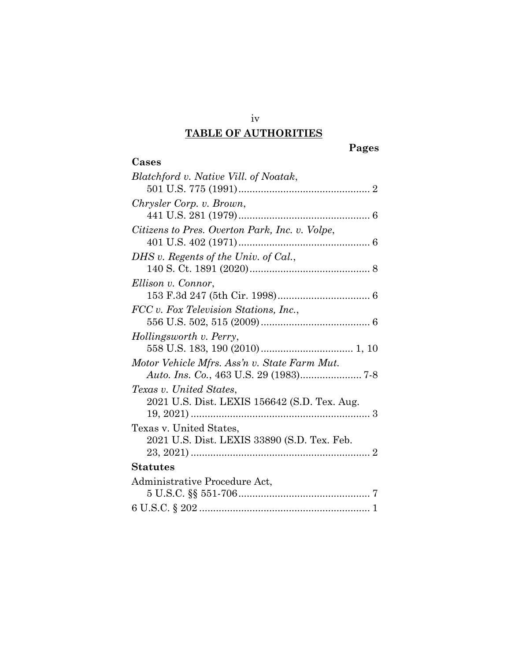# iv **TABLE OF AUTHORITIES**

**Cases**

# *Blatchford v. Native Vill. of Noatak*, 501 U.S. 775 (1991)............................................... 2 *Chrysler Corp. v. Brown*, 441 U.S. 281 (1979)............................................... 6 *Citizens to Pres. Overton Park, Inc. v. Volpe*, 401 U.S. 402 (1971)............................................... 6 *DHS v. Regents of the Univ. of Cal.*, 140 S. Ct. 1891 (2020)........................................... 8 *Ellison v. Connor*, 153 F.3d 247 (5th Cir. 1998)................................. 6 *FCC v. Fox Television Stations, Inc.*, 556 U.S. 502, 515 (2009)....................................... 6 *Hollingsworth v. Perry*, 558 U.S. 183, 190 (2010)................................. 1, 10 *Motor Vehicle Mfrs. Ass'n v. State Farm Mut. Auto. Ins. Co.*, 463 U.S. 29 (1983)...................... 7-8 *Texas v. United States*, 2021 U.S. Dist. LEXIS 156642 (S.D. Tex. Aug. 19, 2021) ................................................................ 3 Texas v. United States, 2021 U.S. Dist. LEXIS 33890 (S.D. Tex. Feb. 23, 2021) ................................................................ 2 **Statutes** Administrative Procedure Act, 5 U.S.C. §§ 551-706............................................... 7 6 U.S.C. § 202 ............................................................. 1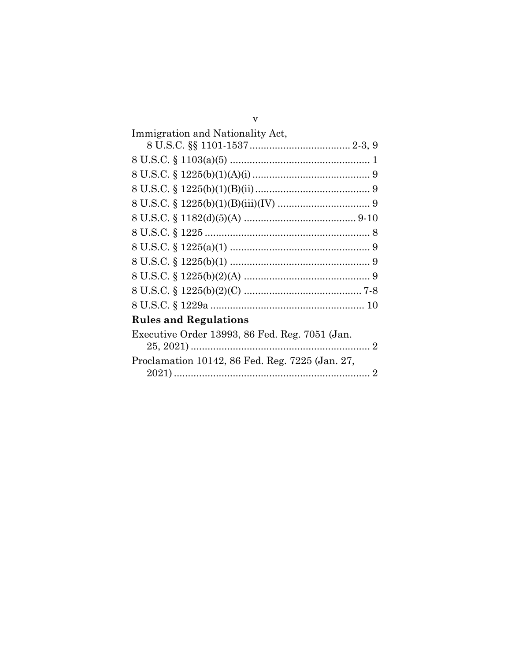| Immigration and Nationality Act,                |
|-------------------------------------------------|
|                                                 |
|                                                 |
|                                                 |
|                                                 |
|                                                 |
|                                                 |
|                                                 |
|                                                 |
|                                                 |
|                                                 |
|                                                 |
|                                                 |
| <b>Rules and Regulations</b>                    |
| Executive Order 13993, 86 Fed. Reg. 7051 (Jan.  |
|                                                 |
| Proclamation 10142, 86 Fed. Reg. 7225 (Jan. 27, |
|                                                 |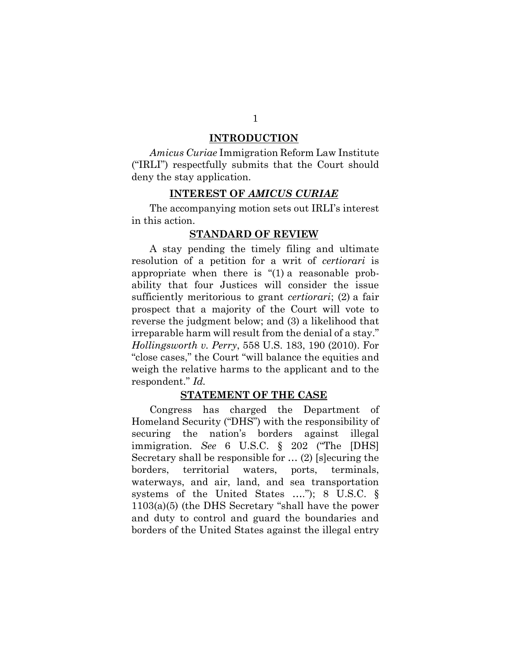#### **INTRODUCTION**

*Amicus Curiae* Immigration Reform Law Institute ("IRLI") respectfully submits that the Court should deny the stay application.

#### **INTEREST OF** *AMICUS CURIAE*

The accompanying motion sets out IRLI's interest in this action.

#### **STANDARD OF REVIEW**

A stay pending the timely filing and ultimate resolution of a petition for a writ of *certiorari* is appropriate when there is "(1) a reasonable probability that four Justices will consider the issue sufficiently meritorious to grant *certiorari*; (2) a fair prospect that a majority of the Court will vote to reverse the judgment below; and (3) a likelihood that irreparable harm will result from the denial of a stay." *Hollingsworth v. Perry*, 558 U.S. 183, 190 (2010). For "close cases," the Court "will balance the equities and weigh the relative harms to the applicant and to the respondent." *Id.*

#### **STATEMENT OF THE CASE**

Congress has charged the Department of Homeland Security ("DHS") with the responsibility of securing the nation's borders against illegal immigration. *See* 6 U.S.C. § 202 ("The [DHS] Secretary shall be responsible for … (2) [s]ecuring the borders, territorial waters, ports, terminals, waterways, and air, land, and sea transportation systems of the United States …."); 8 U.S.C. § 1103(a)(5) (the DHS Secretary "shall have the power and duty to control and guard the boundaries and borders of the United States against the illegal entry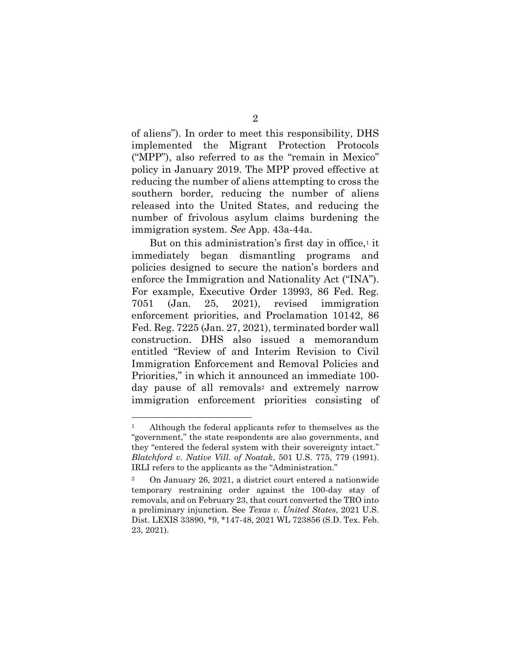of aliens"). In order to meet this responsibility, DHS implemented the Migrant Protection Protocols ("MPP"), also referred to as the "remain in Mexico" policy in January 2019. The MPP proved effective at reducing the number of aliens attempting to cross the southern border, reducing the number of aliens released into the United States, and reducing the number of frivolous asylum claims burdening the immigration system. *See* App. 43a-44a.

But on this administration's first day in office, $\frac{1}{1}$  it immediately began dismantling programs and policies designed to secure the nation's borders and enforce the Immigration and Nationality Act ("INA"). For example, Executive Order 13993, 86 Fed. Reg. 7051 (Jan. 25, 2021), revised immigration enforcement priorities, and Proclamation 10142, 86 Fed. Reg. 7225 (Jan. 27, 2021), terminated border wall construction. DHS also issued a memorandum entitled "Review of and Interim Revision to Civil Immigration Enforcement and Removal Policies and Priorities," in which it announced an immediate 100 day pause of all removals<sup>2</sup> and extremely narrow immigration enforcement priorities consisting of

Although the federal applicants refer to themselves as the "government," the state respondents are also governments, and they "entered the federal system with their sovereignty intact." *Blatchford v. Native Vill. of Noatak*, 501 U.S. 775, 779 (1991). IRLI refers to the applicants as the "Administration."

<sup>2</sup> On January 26, 2021, a district court entered a nationwide temporary restraining order against the 100-day stay of removals, and on February 23, that court converted the TRO into a preliminary injunction. See *Texas v. United States*, 2021 U.S. Dist. LEXIS 33890, \*9, \*147-48, 2021 WL 723856 (S.D. Tex. Feb. 23, 2021).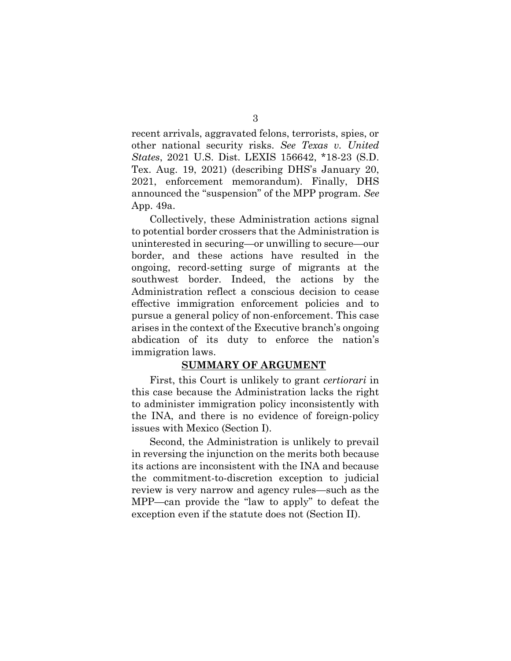recent arrivals, aggravated felons, terrorists, spies, or other national security risks. *See Texas v. United States*, 2021 U.S. Dist. LEXIS 156642, \*18-23 (S.D. Tex. Aug. 19, 2021) (describing DHS's January 20, 2021, enforcement memorandum). Finally, DHS announced the "suspension" of the MPP program. *See* App. 49a.

Collectively, these Administration actions signal to potential border crossers that the Administration is uninterested in securing—or unwilling to secure—our border, and these actions have resulted in the ongoing, record-setting surge of migrants at the southwest border. Indeed, the actions by the Administration reflect a conscious decision to cease effective immigration enforcement policies and to pursue a general policy of non-enforcement. This case arises in the context of the Executive branch's ongoing abdication of its duty to enforce the nation's immigration laws.

#### **SUMMARY OF ARGUMENT**

First, this Court is unlikely to grant *certiorari* in this case because the Administration lacks the right to administer immigration policy inconsistently with the INA, and there is no evidence of foreign-policy issues with Mexico (Section I).

Second, the Administration is unlikely to prevail in reversing the injunction on the merits both because its actions are inconsistent with the INA and because the commitment-to-discretion exception to judicial review is very narrow and agency rules—such as the MPP—can provide the "law to apply" to defeat the exception even if the statute does not (Section II).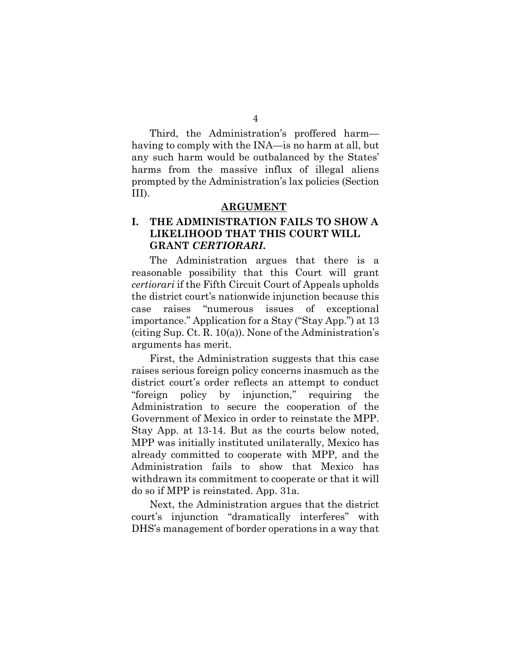Third, the Administration's proffered harm having to comply with the INA—is no harm at all, but any such harm would be outbalanced by the States' harms from the massive influx of illegal aliens prompted by the Administration's lax policies (Section III).

#### **ARGUMENT**

## **I. THE ADMINISTRATION FAILS TO SHOW A LIKELIHOOD THAT THIS COURT WILL GRANT** *CERTIORARI***.**

The Administration argues that there is a reasonable possibility that this Court will grant *certiorari* if the Fifth Circuit Court of Appeals upholds the district court's nationwide injunction because this case raises "numerous issues of exceptional importance." Application for a Stay ("Stay App.") at 13 (citing Sup. Ct. R. 10(a)). None of the Administration's arguments has merit.

First, the Administration suggests that this case raises serious foreign policy concerns inasmuch as the district court's order reflects an attempt to conduct "foreign policy by injunction," requiring the Administration to secure the cooperation of the Government of Mexico in order to reinstate the MPP. Stay App. at 13-14. But as the courts below noted, MPP was initially instituted unilaterally, Mexico has already committed to cooperate with MPP, and the Administration fails to show that Mexico has withdrawn its commitment to cooperate or that it will do so if MPP is reinstated. App. 31a.

Next, the Administration argues that the district court's injunction "dramatically interferes" with DHS's management of border operations in a way that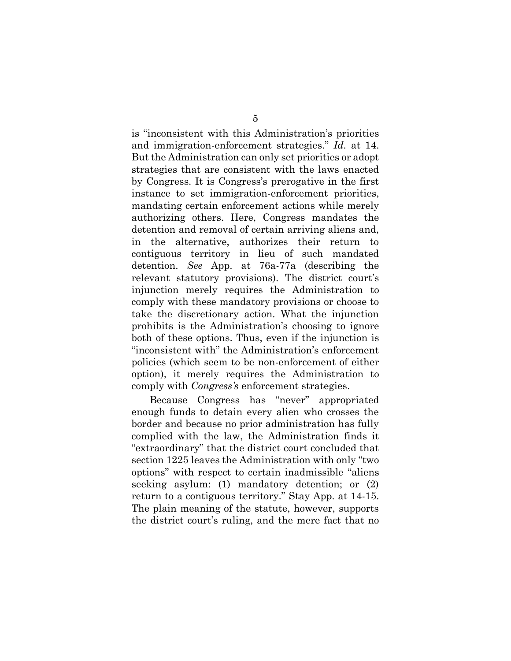is "inconsistent with this Administration's priorities and immigration-enforcement strategies." *Id.* at 14. But the Administration can only set priorities or adopt strategies that are consistent with the laws enacted by Congress. It is Congress's prerogative in the first instance to set immigration-enforcement priorities, mandating certain enforcement actions while merely authorizing others. Here, Congress mandates the detention and removal of certain arriving aliens and, in the alternative, authorizes their return to contiguous territory in lieu of such mandated detention. *See* App. at 76a-77a (describing the relevant statutory provisions). The district court's injunction merely requires the Administration to comply with these mandatory provisions or choose to take the discretionary action. What the injunction prohibits is the Administration's choosing to ignore both of these options. Thus, even if the injunction is "inconsistent with" the Administration's enforcement policies (which seem to be non-enforcement of either option), it merely requires the Administration to comply with *Congress's* enforcement strategies.

Because Congress has "never" appropriated enough funds to detain every alien who crosses the border and because no prior administration has fully complied with the law, the Administration finds it "extraordinary" that the district court concluded that section 1225 leaves the Administration with only "two options" with respect to certain inadmissible "aliens seeking asylum: (1) mandatory detention; or (2) return to a contiguous territory." Stay App. at 14-15. The plain meaning of the statute, however, supports the district court's ruling, and the mere fact that no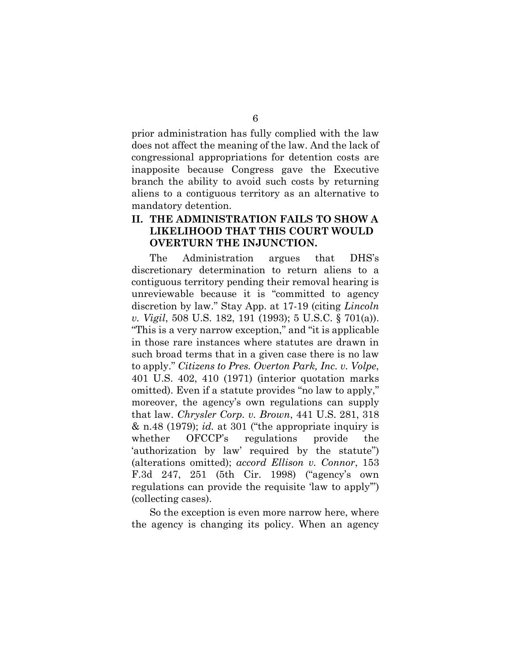prior administration has fully complied with the law does not affect the meaning of the law. And the lack of congressional appropriations for detention costs are inapposite because Congress gave the Executive branch the ability to avoid such costs by returning aliens to a contiguous territory as an alternative to mandatory detention.

## **II. THE ADMINISTRATION FAILS TO SHOW A LIKELIHOOD THAT THIS COURT WOULD OVERTURN THE INJUNCTION.**

The Administration argues that DHS's discretionary determination to return aliens to a contiguous territory pending their removal hearing is unreviewable because it is "committed to agency discretion by law." Stay App. at 17-19 (citing *Lincoln v. Vigil*, 508 U.S. 182, 191 (1993); 5 U.S.C. § 701(a)). "This is a very narrow exception," and "it is applicable in those rare instances where statutes are drawn in such broad terms that in a given case there is no law to apply." *Citizens to Pres. Overton Park, Inc. v. Volpe*, 401 U.S. 402, 410 (1971) (interior quotation marks omitted). Even if a statute provides "no law to apply," moreover, the agency's own regulations can supply that law. *Chrysler Corp. v. Brown*, 441 U.S. 281, 318 & n.48 (1979); *id.* at 301 ("the appropriate inquiry is whether OFCCP's regulations provide the 'authorization by law' required by the statute") (alterations omitted); *accord Ellison v. Connor*, 153 F.3d 247, 251 (5th Cir. 1998) ("agency's own regulations can provide the requisite 'law to apply'") (collecting cases).

So the exception is even more narrow here, where the agency is changing its policy. When an agency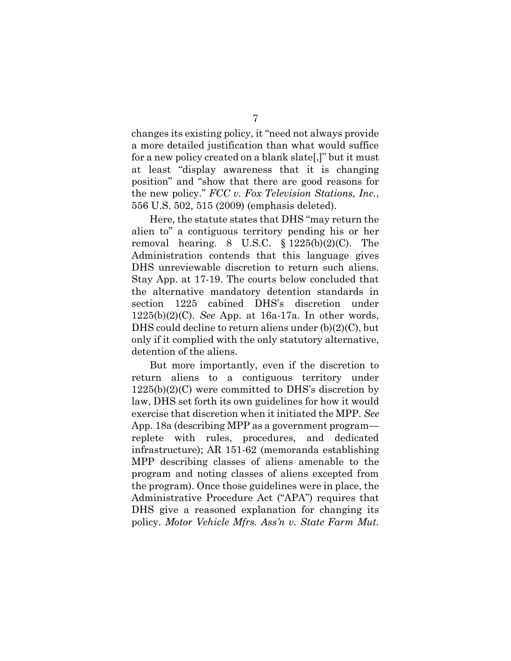changes its existing policy, it "need not always provide a more detailed justification than what would suffice for a new policy created on a blank slate[,]" but it must at least "display awareness that it is changing position" and "show that there are good reasons for the new policy." *FCC v. Fox Television Stations, Inc.*, 556 U.S. 502, 515 (2009) (emphasis deleted).

Here, the statute states that DHS "may return the alien to" a contiguous territory pending his or her removal hearing. 8 U.S.C.  $\S$  1225(b)(2)(C). The Administration contends that this language gives DHS unreviewable discretion to return such aliens. Stay App. at 17-19. The courts below concluded that the alternative mandatory detention standards in section 1225 cabined DHS's discretion under 1225(b)(2)(C). *See* App. at 16a-17a. In other words, DHS could decline to return aliens under (b)(2)(C), but only if it complied with the only statutory alternative, detention of the aliens.

But more importantly, even if the discretion to return aliens to a contiguous territory under  $1225(b)(2)(C)$  were committed to DHS's discretion by law, DHS set forth its own guidelines for how it would exercise that discretion when it initiated the MPP. *See*  App. 18a (describing MPP as a government program replete with rules, procedures, and dedicated infrastructure); AR 151-62 (memoranda establishing MPP describing classes of aliens amenable to the program and noting classes of aliens excepted from the program). Once those guidelines were in place, the Administrative Procedure Act ("APA") requires that DHS give a reasoned explanation for changing its policy. *Motor Vehicle Mfrs. Ass'n v. State Farm Mut.*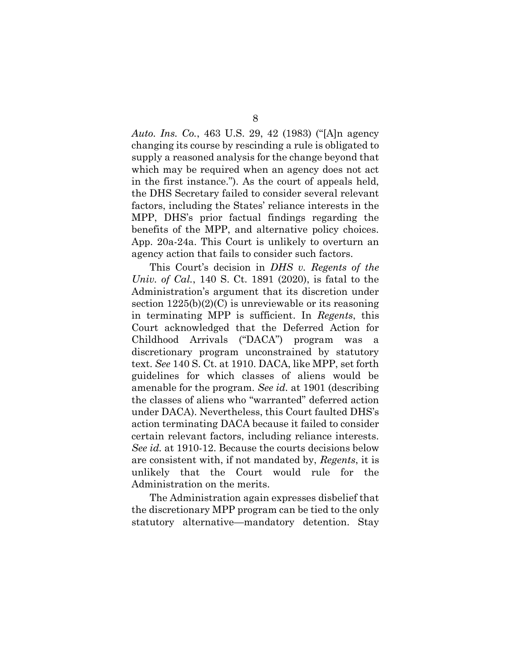*Auto. Ins. Co.*, 463 U.S. 29, 42 (1983) ("[A]n agency changing its course by rescinding a rule is obligated to supply a reasoned analysis for the change beyond that which may be required when an agency does not act in the first instance."). As the court of appeals held, the DHS Secretary failed to consider several relevant factors, including the States' reliance interests in the MPP, DHS's prior factual findings regarding the benefits of the MPP, and alternative policy choices. App. 20a-24a. This Court is unlikely to overturn an agency action that fails to consider such factors.

This Court's decision in *DHS v. Regents of the Univ. of Cal.*, 140 S. Ct. 1891 (2020), is fatal to the Administration's argument that its discretion under section  $1225(b)(2)(C)$  is unreviewable or its reasoning in terminating MPP is sufficient. In *Regents*, this Court acknowledged that the Deferred Action for Childhood Arrivals ("DACA") program was a discretionary program unconstrained by statutory text. *See* 140 S. Ct. at 1910. DACA, like MPP, set forth guidelines for which classes of aliens would be amenable for the program. *See id.* at 1901 (describing the classes of aliens who "warranted" deferred action under DACA). Nevertheless, this Court faulted DHS's action terminating DACA because it failed to consider certain relevant factors, including reliance interests. *See id.* at 1910-12. Because the courts decisions below are consistent with, if not mandated by, *Regents*, it is unlikely that the Court would rule for the Administration on the merits.

The Administration again expresses disbelief that the discretionary MPP program can be tied to the only statutory alternative—mandatory detention. Stay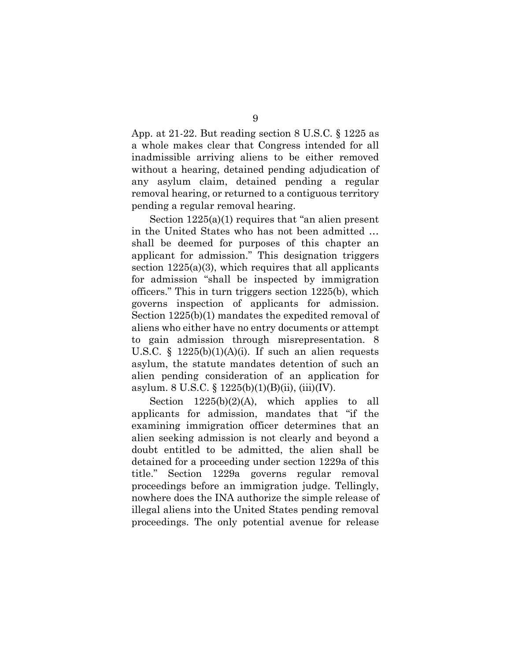App. at 21-22. But reading section 8 U.S.C. § 1225 as a whole makes clear that Congress intended for all inadmissible arriving aliens to be either removed without a hearing, detained pending adjudication of any asylum claim, detained pending a regular removal hearing, or returned to a contiguous territory pending a regular removal hearing.

Section 1225(a)(1) requires that "an alien present in the United States who has not been admitted … shall be deemed for purposes of this chapter an applicant for admission." This designation triggers section  $1225(a)(3)$ , which requires that all applicants for admission "shall be inspected by immigration officers." This in turn triggers section 1225(b), which governs inspection of applicants for admission. Section 1225(b)(1) mandates the expedited removal of aliens who either have no entry documents or attempt to gain admission through misrepresentation. 8 U.S.C. §  $1225(b)(1)(A)(i)$ . If such an alien requests asylum, the statute mandates detention of such an alien pending consideration of an application for asylum. 8 U.S.C. § 1225(b)(1)(B)(ii), (iii)(IV).

Section  $1225(b)(2)(A)$ , which applies to all applicants for admission, mandates that "if the examining immigration officer determines that an alien seeking admission is not clearly and beyond a doubt entitled to be admitted, the alien shall be detained for a proceeding under section 1229a of this title." Section 1229a governs regular removal proceedings before an immigration judge. Tellingly, nowhere does the INA authorize the simple release of illegal aliens into the United States pending removal proceedings. The only potential avenue for release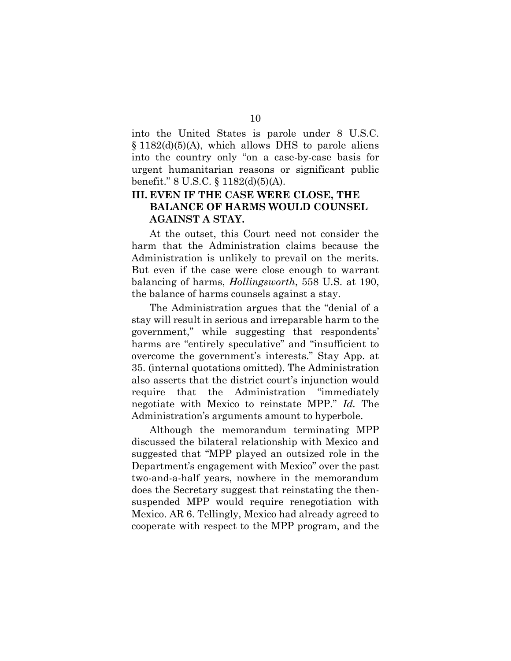into the United States is parole under 8 U.S.C.  $\S 1182(d)(5)(A)$ , which allows DHS to parole aliens into the country only "on a case-by-case basis for urgent humanitarian reasons or significant public benefit." 8 U.S.C. § 1182(d)(5)(A).

## **III. EVEN IF THE CASE WERE CLOSE, THE BALANCE OF HARMS WOULD COUNSEL AGAINST A STAY.**

At the outset, this Court need not consider the harm that the Administration claims because the Administration is unlikely to prevail on the merits. But even if the case were close enough to warrant balancing of harms, *Hollingsworth*, 558 U.S. at 190, the balance of harms counsels against a stay.

The Administration argues that the "denial of a stay will result in serious and irreparable harm to the government," while suggesting that respondents' harms are "entirely speculative" and "insufficient to overcome the government's interests." Stay App. at 35. (internal quotations omitted). The Administration also asserts that the district court's injunction would require that the Administration "immediately negotiate with Mexico to reinstate MPP." *Id.* The Administration's arguments amount to hyperbole.

Although the memorandum terminating MPP discussed the bilateral relationship with Mexico and suggested that "MPP played an outsized role in the Department's engagement with Mexico" over the past two-and-a-half years, nowhere in the memorandum does the Secretary suggest that reinstating the thensuspended MPP would require renegotiation with Mexico. AR 6. Tellingly, Mexico had already agreed to cooperate with respect to the MPP program, and the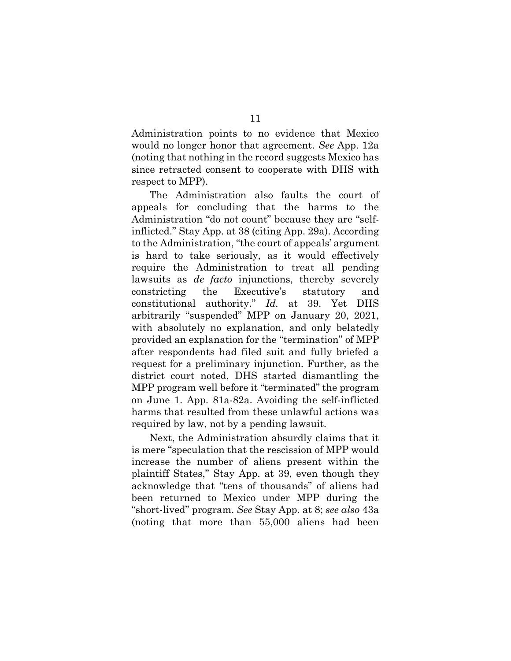Administration points to no evidence that Mexico would no longer honor that agreement. *See* App. 12a (noting that nothing in the record suggests Mexico has since retracted consent to cooperate with DHS with respect to MPP).

The Administration also faults the court of appeals for concluding that the harms to the Administration "do not count" because they are "selfinflicted." Stay App. at 38 (citing App. 29a). According to the Administration, "the court of appeals' argument is hard to take seriously, as it would effectively require the Administration to treat all pending lawsuits as *de facto* injunctions, thereby severely constricting the Executive's statutory and constitutional authority." *Id.* at 39. Yet DHS arbitrarily "suspended" MPP on January 20, 2021, with absolutely no explanation, and only belatedly provided an explanation for the "termination" of MPP after respondents had filed suit and fully briefed a request for a preliminary injunction. Further, as the district court noted, DHS started dismantling the MPP program well before it "terminated" the program on June 1. App. 81a-82a. Avoiding the self-inflicted harms that resulted from these unlawful actions was required by law, not by a pending lawsuit.

Next, the Administration absurdly claims that it is mere "speculation that the rescission of MPP would increase the number of aliens present within the plaintiff States," Stay App. at 39, even though they acknowledge that "tens of thousands" of aliens had been returned to Mexico under MPP during the "short-lived" program. *See* Stay App. at 8; *see also* 43a (noting that more than 55,000 aliens had been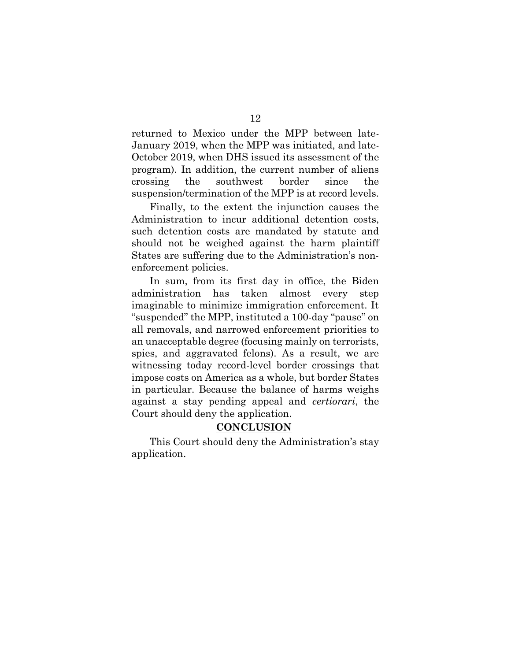returned to Mexico under the MPP between late-January 2019, when the MPP was initiated, and late-October 2019, when DHS issued its assessment of the program). In addition, the current number of aliens crossing the southwest border since the suspension/termination of the MPP is at record levels.

Finally, to the extent the injunction causes the Administration to incur additional detention costs, such detention costs are mandated by statute and should not be weighed against the harm plaintiff States are suffering due to the Administration's nonenforcement policies.

In sum, from its first day in office, the Biden administration has taken almost every step imaginable to minimize immigration enforcement. It "suspended" the MPP, instituted a 100-day "pause" on all removals, and narrowed enforcement priorities to an unacceptable degree (focusing mainly on terrorists, spies, and aggravated felons). As a result, we are witnessing today record-level border crossings that impose costs on America as a whole, but border States in particular. Because the balance of harms weighs against a stay pending appeal and *certiorari*, the Court should deny the application.

## **CONCLUSION**

This Court should deny the Administration's stay application.